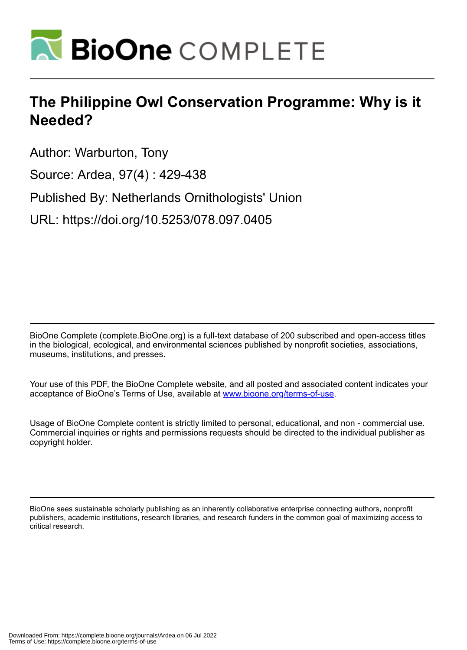

# **The Philippine Owl Conservation Programme: Why is it Needed?**

Author: Warburton, Tony

Source: Ardea, 97(4) : 429-438

Published By: Netherlands Ornithologists' Union

URL: https://doi.org/10.5253/078.097.0405

BioOne Complete (complete.BioOne.org) is a full-text database of 200 subscribed and open-access titles in the biological, ecological, and environmental sciences published by nonprofit societies, associations, museums, institutions, and presses.

Your use of this PDF, the BioOne Complete website, and all posted and associated content indicates your acceptance of BioOne's Terms of Use, available at www.bioone.org/terms-of-use.

Usage of BioOne Complete content is strictly limited to personal, educational, and non - commercial use. Commercial inquiries or rights and permissions requests should be directed to the individual publisher as copyright holder.

BioOne sees sustainable scholarly publishing as an inherently collaborative enterprise connecting authors, nonprofit publishers, academic institutions, research libraries, and research funders in the common goal of maximizing access to critical research.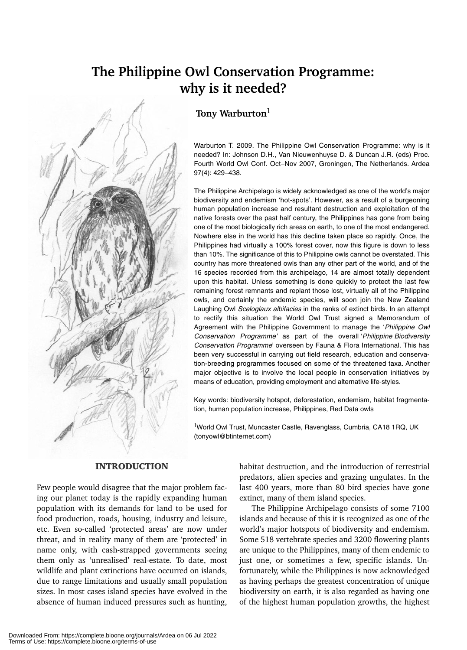## **The Philippine Owl Conservation Programme: why is it needed?**



## **Tony Warburton**<sup>1</sup>

Warburton T. 2009. The Philippine Owl Conservation Programme: why is it needed? In: Johnson D.H., Van Nieuwenhuyse D. & Duncan J.R. (eds) Proc. Fourth World Owl Conf. Oct–Nov 2007, Groningen, The Netherlands. Ardea 97(4): 429–438.

The Philippine Archipelago is widely acknowledged as one of the world's major biodiversity and endemism 'hot-spots'. However, as a result of a burgeoning human population increase and resultant destruction and exploitation of the native forests over the past half century, the Philippines has gone from being one of the most biologically rich areas on earth, to one of the most endangered. Nowhere else in the world has this decline taken place so rapidly. Once, the Philippines had virtually a 100% forest cover, now this figure is down to less than 10%. The significance of this to Philippine owls cannot be overstated. This country has more threatened owls than any other part of the world, and of the 16 species recorded from this archipelago, 14 are almost totally dependent upon this habitat. Unless something is done quickly to protect the last few remaining forest remnants and replant those lost, virtually all of the Philippine owls, and certainly the endemic species, will soon join the New Zealand Laughing Owl *Sceloglaux albifacies* in the ranks of extinct birds. In an attempt to rectify this situation the World Owl Trust signed a Memorandum of Agreement with the Philippine Government to manage the '*Philippine Owl Conservation Programme'* as part of the overall '*Philippine Biodiversity Conservation Programme*' overseen by Fauna & Flora International. This has been very successful in carrying out field research, education and conservation-breeding programmes focused on some of the threatened taxa. Another major objective is to involve the local people in conservation initiatives by means of education, providing employment and alternative life-styles.

Key words: biodiversity hotspot, deforestation, endemism, habitat fragmentation, human population increase, Philippines, Red Data owls

<sup>1</sup>World Owl Trust, Muncaster Castle, Ravenglass, Cumbria, CA18 1RQ, UK (tonyowl@btinternet.com)

## **INTRODUCTION**

Few people would disagree that the major problem facing our planet today is the rapidly expanding human population with its demands for land to be used for food production, roads, housing, industry and leisure, etc. Even so-called 'protected areas' are now under threat, and in reality many of them are 'protected' in name only, with cash-strapped governments seeing them only as 'unrealised' real-estate. To date, most wildlife and plant extinctions have occurred on islands, due to range limitations and usually small population sizes. In most cases island species have evolved in the absence of human induced pressures such as hunting, habitat destruction, and the introduction of terrestrial predators, alien species and grazing ungulates. In the last 400 years, more than 80 bird species have gone extinct, many of them island species.

The Philippine Archipelago consists of some 7100 islands and because of this it is recognized as one of the world's major hotspots of biodiversity and endemism. Some 518 vertebrate species and 3200 flowering plants are unique to the Philippines, many of them endemic to just one, or sometimes a few, specific islands. Unfortunately, while the Philippines is now acknowledged as having perhaps the greatest concentration of unique biodiversity on earth, it is also regarded as having one of the highest human population growths, the highest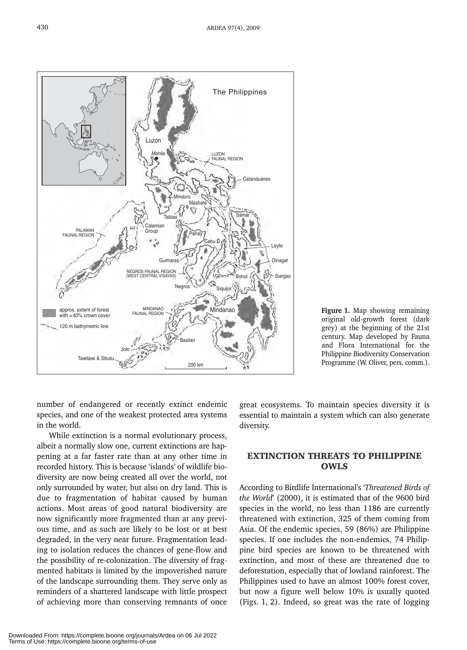



number of endangered or recently extinct endemic species, and one of the weakest protected area systems in the world.

While extinction is a normal evolutionary process, albeit a normally slow one, current extinctions are happening at a far faster rate than at any other time in recorded history. This is because 'islands' of wildlife biodiversity are now being created all over the world, not only surrounded by water, but also on dry land. This is due to fragmentation of habitat caused by human actions. Most areas of good natural biodiversity are now significantly more fragmented than at any previous time, and as such are likely to be lost or at best degraded, in the very near future. Fragmentation leading to isolation reduces the chances of gene-flow and the possibility of re-colonization. The diversity of fragmented habitats is limited by the impoverished nature of the landscape surrounding them. They serve only as reminders of a shattered landscape with little prospect of achieving more than conserving remnants of once great ecosystems. To maintain species diversity it is essential to maintain a system which can also generate diversity.

## EXTINCTION THREATS TO PHILIPPINE OWLS

According to Birdlife International's '*Threatened Birds of the World*' (2000), it is estimated that of the 9600 bird species in the world, no less than 1186 are currently threatened with extinction, 325 of them coming from Asia. Of the endemic species, 59 (86%) are Philippine species. If one includes the non-endemics, 74 Philippine bird species are known to be threatened with extinction, and most of these are threatened due to deforestation, especially that of lowland rainforest. The Philippines used to have an almost 100% forest cover, but now a figure well below 10% is usually quoted (Figs. 1, 2). Indeed, so great was the rate of logging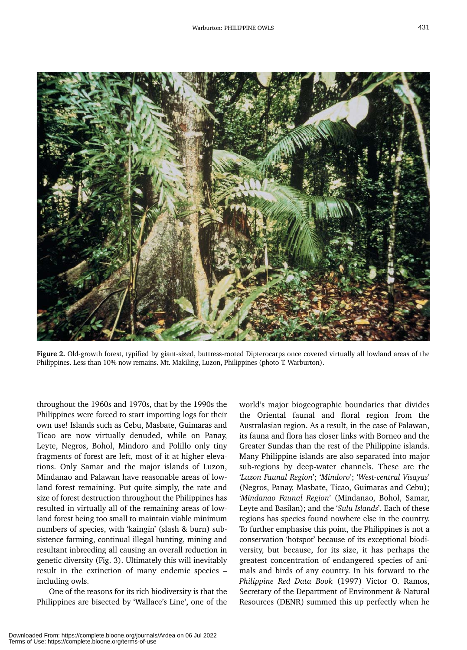

**Figure 2.** Old-growth forest, typified by giant-sized, buttress-rooted Dipterocarps once covered virtually all lowland areas of the Philippines. Less than 10% now remains. Mt. Makiling, Luzon, Philippines (photo T. Warburton).

throughout the 1960s and 1970s, that by the 1990s the Philippines were forced to start importing logs for their own use! Islands such as Cebu, Masbate, Guimaras and Ticao are now virtually denuded, while on Panay, Leyte, Negros, Bohol, Mindoro and Polillo only tiny fragments of forest are left, most of it at higher elevations. Only Samar and the major islands of Luzon, Mindanao and Palawan have reasonable areas of lowland forest remaining. Put quite simply, the rate and size of forest destruction throughout the Philippines has resulted in virtually all of the remaining areas of lowland forest being too small to maintain viable minimum numbers of species, with 'kaingin' (slash & burn) subsistence farming, continual illegal hunting, mining and resultant inbreeding all causing an overall reduction in genetic diversity (Fig. 3). Ultimately this will inevitably result in the extinction of many endemic species – including owls.

One of the reasons for its rich biodiversity is that the Philippines are bisected by 'Wallace's Line', one of the world's major biogeographic boundaries that divides the Oriental faunal and floral region from the Australasian region. As a result, in the case of Palawan, its fauna and flora has closer links with Borneo and the Greater Sundas than the rest of the Philippine islands. Many Philippine islands are also separated into major sub-regions by deep-water channels. These are the '*Luzon Faunal Region*'; '*Mindoro*'; '*West-central Visayas*' (Negros, Panay, Masbate, Ticao, Guimaras and Cebu); '*Mindanao Faunal Region*' (Mindanao, Bohol, Samar, Leyte and Basilan); and the '*Sulu Islands*'. Each of these regions has species found nowhere else in the country. To further emphasise this point, the Philippines is not a conservation 'hotspot' because of its exceptional biodiversity, but because, for its size, it has perhaps the greatest concentration of endangered species of animals and birds of any country. In his forward to the *Philippine Red Data Book* (1997) Victor O. Ramos, Secretary of the Department of Environment & Natural Resources (DENR) summed this up perfectly when he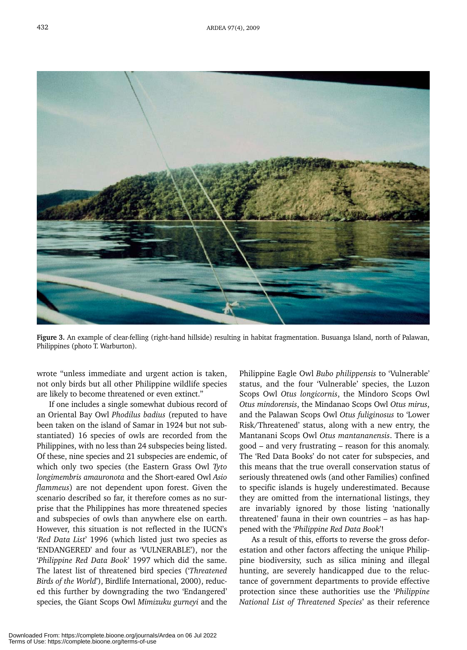

**Figure 3.** An example of clear-felling (right-hand hillside) resulting in habitat fragmentation. Busuanga Island, north of Palawan, Philippines (photo T. Warburton).

wrote "unless immediate and urgent action is taken, not only birds but all other Philippine wildlife species are likely to become threatened or even extinct."

If one includes a single somewhat dubious record of an Oriental Bay Owl *Phodilus badius* (reputed to have been taken on the island of Samar in 1924 but not substantiated) 16 species of owls are recorded from the Philippines, with no less than 24 subspecies being listed. Of these, nine species and 21 subspecies are endemic, of which only two species (the Eastern Grass Owl *Tyto longimembris amauronota* and the Short-eared Owl *Asio flammeus*) are not dependent upon forest. Given the scenario described so far, it therefore comes as no surprise that the Philippines has more threatened species and subspecies of owls than anywhere else on earth. However, this situation is not reflected in the IUCN's '*Red Data List*' 1996 (which listed just two species as 'ENDANGERED' and four as 'VULNERABLE'), nor the '*Philippine Red Data Book*' 1997 which did the same. The latest list of threatened bird species ('*Threatened Birds of the World*'), Birdlife International, 2000), reduced this further by downgrading the two 'Endangered' species, the Giant Scops Owl *Mimizuku gurneyi* and the Philippine Eagle Owl *Bubo philippensis* to 'Vulnerable' status, and the four 'Vulnerable' species, the Luzon Scops Owl *Otus longicornis*, the Mindoro Scops Owl *Otus mindorensis*, the Mindanao Scops Owl *Otus mirus*, and the Palawan Scops Owl *Otus fuliginosus* to 'Lower Risk/Threatened' status, along with a new entry, the Mantanani Scops Owl *Otus mantananensis*. There is a good – and very frustrating – reason for this anomaly. The 'Red Data Books' do not cater for subspecies, and this means that the true overall conservation status of seriously threatened owls (and other Families) confined to specific islands is hugely underestimated. Because they are omitted from the international listings, they are invariably ignored by those listing 'nationally threatened' fauna in their own countries – as has happened with the '*Philippine Red Data Book*'!

As a result of this, efforts to reverse the gross deforestation and other factors affecting the unique Philippine biodiversity, such as silica mining and illegal hunting, are severely handicapped due to the reluctance of government departments to provide effective protection since these authorities use the '*Philippine National List of Threatened Species*' as their reference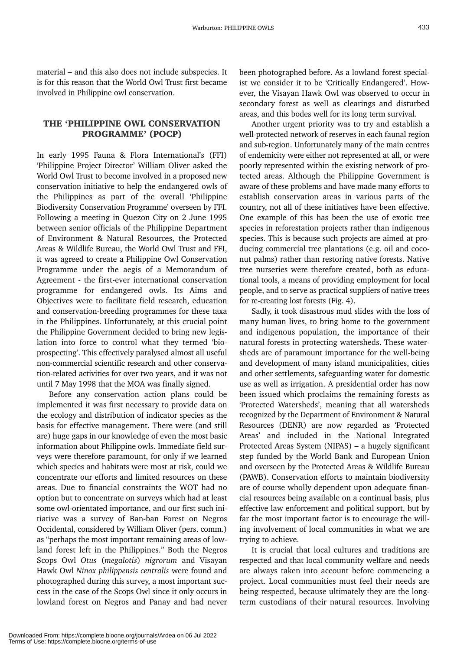material – and this also does not include subspecies. It is for this reason that the World Owl Trust first became involved in Philippine owl conservation.

## THE 'PHILIPPINE OWL CONSERVATION PROGRAMME' (POCP)

In early 1995 Fauna & Flora International's (FFI) 'Philippine Project Director' William Oliver asked the World Owl Trust to become involved in a proposed new conservation initiative to help the endangered owls of the Philippines as part of the overall 'Philippine Biodiversity Conservation Programme' overseen by FFI. Following a meeting in Quezon City on 2 June 1995 between senior officials of the Philippine Department of Environment & Natural Resources, the Protected Areas & Wildlife Bureau, the World Owl Trust and FFI, it was agreed to create a Philippine Owl Conservation Programme under the aegis of a Memorandum of Agreement - the first-ever international conservation programme for endangered owls. Its Aims and Objectives were to facilitate field research, education and conservation-breeding programmes for these taxa in the Philippines. Unfortunately, at this crucial point the Philippine Government decided to bring new legislation into force to control what they termed 'bioprospecting'. This effectively paralysed almost all useful non-commercial scientific research and other conservation-related activities for over two years, and it was not until 7 May 1998 that the MOA was finally signed.

Before any conservation action plans could be implemented it was first necessary to provide data on the ecology and distribution of indicator species as the basis for effective management. There were (and still are) huge gaps in our knowledge of even the most basic information about Philippine owls. Immediate field surveys were therefore paramount, for only if we learned which species and habitats were most at risk, could we concentrate our efforts and limited resources on these areas. Due to financial constraints the WOT had no option but to concentrate on surveys which had at least some owl-orientated importance, and our first such initiative was a survey of Ban-ban Forest on Negros Occidental, considered by William Oliver (pers. comm.) as "perhaps the most important remaining areas of lowland forest left in the Philippines." Both the Negros Scops Owl *Otus* (*megalotis*) *nigrorum* and Visayan Hawk Owl *Ninox philippensis centralis* were found and photographed during this survey, a most important success in the case of the Scops Owl since it only occurs in lowland forest on Negros and Panay and had never been photographed before. As a lowland forest specialist we consider it to be 'Critically Endangered'. However, the Visayan Hawk Owl was observed to occur in secondary forest as well as clearings and disturbed areas, and this bodes well for its long term survival.

Another urgent priority was to try and establish a well-protected network of reserves in each faunal region and sub-region. Unfortunately many of the main centres of endemicity were either not represented at all, or were poorly represented within the existing network of protected areas. Although the Philippine Government is aware of these problems and have made many efforts to establish conservation areas in various parts of the country, not all of these initiatives have been effective. One example of this has been the use of exotic tree species in reforestation projects rather than indigenous species. This is because such projects are aimed at producing commercial tree plantations (e.g. oil and coconut palms) rather than restoring native forests. Native tree nurseries were therefore created, both as educational tools, a means of providing employment for local people, and to serve as practical suppliers of native trees for re-creating lost forests (Fig. 4).

Sadly, it took disastrous mud slides with the loss of many human lives, to bring home to the government and indigenous population, the importance of their natural forests in protecting watersheds. These watersheds are of paramount importance for the well-being and development of many island municipalities, cities and other settlements, safeguarding water for domestic use as well as irrigation. A presidential order has now been issued which proclaims the remaining forests as 'Protected Watersheds', meaning that all watersheds recognized by the Department of Environment & Natural Resources (DENR) are now regarded as 'Protected Areas' and included in the National Integrated Protected Areas System (NIPAS) – a hugely significant step funded by the World Bank and European Union and overseen by the Protected Areas & Wildlife Bureau (PAWB). Conservation efforts to maintain biodiversity are of course wholly dependent upon adequate financial resources being available on a continual basis, plus effective law enforcement and political support, but by far the most important factor is to encourage the willing involvement of local communities in what we are trying to achieve.

It is crucial that local cultures and traditions are respected and that local community welfare and needs are always taken into account before commencing a project. Local communities must feel their needs are being respected, because ultimately they are the longterm custodians of their natural resources. Involving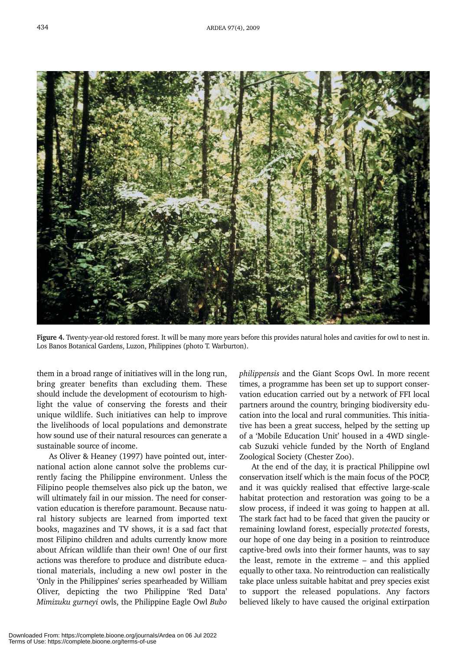

**Figure 4.** Twenty-year-old restored forest. It will be many more years before this provides natural holes and cavities for owl to nest in. Los Banos Botanical Gardens, Luzon, Philippines (photo T. Warburton).

them in a broad range of initiatives will in the long run, bring greater benefits than excluding them. These should include the development of ecotourism to highlight the value of conserving the forests and their unique wildlife. Such initiatives can help to improve the livelihoods of local populations and demonstrate how sound use of their natural resources can generate a sustainable source of income.

As Oliver & Heaney (1997) have pointed out, international action alone cannot solve the problems currently facing the Philippine environment. Unless the Filipino people themselves also pick up the baton, we will ultimately fail in our mission. The need for conservation education is therefore paramount. Because natural history subjects are learned from imported text books, magazines and TV shows, it is a sad fact that most Filipino children and adults currently know more about African wildlife than their own! One of our first actions was therefore to produce and distribute educational materials, including a new owl poster in the 'Only in the Philippines' series spearheaded by William Oliver, depicting the two Philippine 'Red Data' *Mimizuku gurneyi* owls, the Philippine Eagle Owl *Bubo*

*philippensis* and the Giant Scops Owl. In more recent times, a programme has been set up to support conservation education carried out by a network of FFI local partners around the country, bringing biodiversity education into the local and rural communities. This initiative has been a great success, helped by the setting up of a 'Mobile Education Unit' housed in a 4WD singlecab Suzuki vehicle funded by the North of England Zoological Society (Chester Zoo).

At the end of the day, it is practical Philippine owl conservation itself which is the main focus of the POCP, and it was quickly realised that effective large-scale habitat protection and restoration was going to be a slow process, if indeed it was going to happen at all. The stark fact had to be faced that given the paucity or remaining lowland forest, especially *protected* forests, our hope of one day being in a position to reintroduce captive-bred owls into their former haunts, was to say the least, remote in the extreme – and this applied equally to other taxa. No reintroduction can realistically take place unless suitable habitat and prey species exist to support the released populations. Any factors believed likely to have caused the original extirpation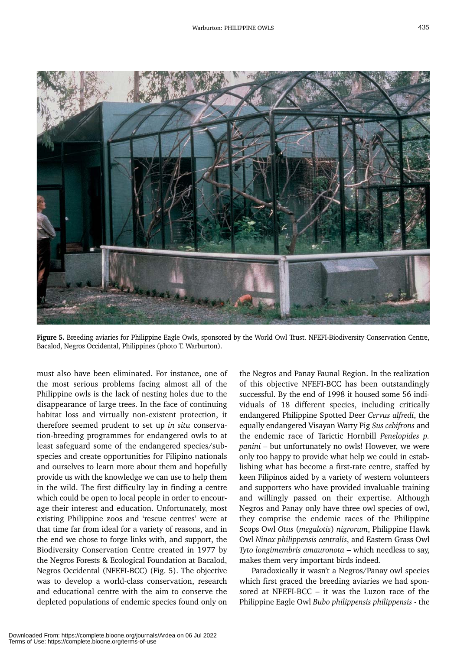

Figure 5. Breeding aviaries for Philippine Eagle Owls, sponsored by the World Owl Trust. NFEFI-Biodiversity Conservation Centre, Bacalod, Negros Occidental, Philippines (photo T. Warburton).

must also have been eliminated. For instance, one of the most serious problems facing almost all of the Philippine owls is the lack of nesting holes due to the disappearance of large trees. In the face of continuing habitat loss and virtually non-existent protection, it therefore seemed prudent to set up *in situ* conservation-breeding programmes for endangered owls to at least safeguard some of the endangered species/subspecies and create opportunities for Filipino nationals and ourselves to learn more about them and hopefully provide us with the knowledge we can use to help them in the wild. The first difficulty lay in finding a centre which could be open to local people in order to encourage their interest and education. Unfortunately, most existing Philippine zoos and 'rescue centres' were at that time far from ideal for a variety of reasons, and in the end we chose to forge links with, and support, the Biodiversity Conservation Centre created in 1977 by the Negros Forests & Ecological Foundation at Bacalod, Negros Occidental (NFEFI-BCC) (Fig. 5). The objective was to develop a world-class conservation, research and educational centre with the aim to conserve the depleted populations of endemic species found only on

the Negros and Panay Faunal Region. In the realization of this objective NFEFI-BCC has been outstandingly successful. By the end of 1998 it housed some 56 individuals of 18 different species, including critically endangered Philippine Spotted Deer *Cervus alfredi*, the equally endangered Visayan Warty Pig *Sus cebifrons* and the endemic race of Tarictic Hornbill *Penelopides p. panini* – but unfortunately no owls! However, we were only too happy to provide what help we could in establishing what has become a first-rate centre, staffed by keen Filipinos aided by a variety of western volunteers and supporters who have provided invaluable training and willingly passed on their expertise. Although Negros and Panay only have three owl species of owl, they comprise the endemic races of the Philippine Scops Owl *Otus* (*megalotis*) *nigrorum*, Philippine Hawk Owl *Ninox philippensis centralis*, and Eastern Grass Owl *Tyto longimembris amauronota* – which needless to say, makes them very important birds indeed.

Paradoxically it wasn't a Negros/Panay owl species which first graced the breeding aviaries we had sponsored at NFEFI-BCC – it was the Luzon race of the Philippine Eagle Owl *Bubo philippensis philippensis* - the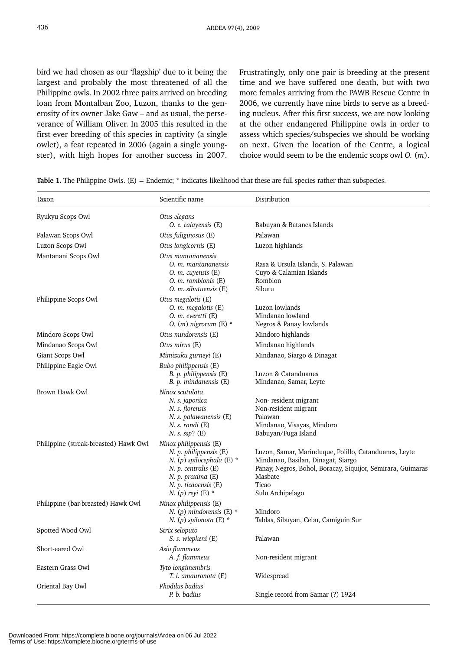bird we had chosen as our 'flagship' due to it being the largest and probably the most threatened of all the Philippine owls. In 2002 three pairs arrived on breeding loan from Montalban Zoo, Luzon, thanks to the generosity of its owner Jake Gaw – and as usual, the perseverance of William Oliver. In 2005 this resulted in the first-ever breeding of this species in captivity (a single owlet), a feat repeated in 2006 (again a single youngster), with high hopes for another success in 2007. Frustratingly, only one pair is breeding at the present time and we have suffered one death, but with two more females arriving from the PAWB Rescue Centre in 2006, we currently have nine birds to serve as a breeding nucleus. After this first success, we are now looking at the other endangered Philippine owls in order to assess which species/subspecies we should be working on next. Given the location of the Centre, a logical choice would seem to be the endemic scops owl *O.* (*m*).

|  | Table 1. The Philippine Owls. $(E)$ = Endemic; * indicates likelihood that these are full species rather than subspecies. |
|--|---------------------------------------------------------------------------------------------------------------------------|
|  |                                                                                                                           |

| Taxon                                 | Scientific name                                                                                                                                                                  | Distribution                                                                                                                                                                                       |  |
|---------------------------------------|----------------------------------------------------------------------------------------------------------------------------------------------------------------------------------|----------------------------------------------------------------------------------------------------------------------------------------------------------------------------------------------------|--|
| Ryukyu Scops Owl                      | Otus elegans<br>O. e. calayensis (E)                                                                                                                                             | Babuyan & Batanes Islands                                                                                                                                                                          |  |
| Palawan Scops Owl                     | Otus fuliginosus (E)                                                                                                                                                             | Palawan                                                                                                                                                                                            |  |
| Luzon Scops Owl                       | Otus longicornis (E)                                                                                                                                                             | Luzon highlands                                                                                                                                                                                    |  |
| Mantanani Scops Owl                   | Otus mantananensis<br>O. m. mantananensis<br>$O.$ m. cuvensis $(E)$<br>$O.$ m. romblonis $(E)$<br>O. m. sibutuensis (E)                                                          | Rasa & Ursula Islands, S. Palawan<br>Cuvo & Calamian Islands<br>Romblon<br>Sibutu                                                                                                                  |  |
| Philippine Scops Owl                  | Otus megalotis (E)<br>O. m. megalotis (E)<br>O. m. everetti (E)<br>O. $(m)$ nigrorum $(E)$ *                                                                                     | Luzon lowlands<br>Mindanao lowland<br>Negros & Panay lowlands                                                                                                                                      |  |
| Mindoro Scops Owl                     | Otus mindorensis (E)                                                                                                                                                             | Mindoro highlands                                                                                                                                                                                  |  |
| Mindanao Scops Owl                    | Otus mirus (E)                                                                                                                                                                   | Mindanao highlands                                                                                                                                                                                 |  |
| Giant Scops Owl                       | Mimizuku gurneyi (E)                                                                                                                                                             | Mindanao, Siargo & Dinagat                                                                                                                                                                         |  |
| Philippine Eagle Owl                  | Bubo philippensis (E)<br>$B.$ p. philippensis $(E)$<br>B. p. mindanensis (E)                                                                                                     | Luzon & Catanduanes<br>Mindanao, Samar, Leyte                                                                                                                                                      |  |
| Brown Hawk Owl                        | Ninox scutulata<br>N. s. japonica<br>N. s. florensis<br>N. s. palawanensis (E)<br>N. s. randi(E)<br>N. s. ssp? (E)                                                               | Non-resident migrant<br>Non-resident migrant<br>Palawan<br>Mindanao, Visayas, Mindoro<br>Babuyan/Fuga Island                                                                                       |  |
| Philippine (streak-breasted) Hawk Owl | Ninox philippensis (E)<br>$N.$ p. philippensis $(E)$<br>N. (p) spilocephala $(E)$ *<br>N. p. centralis (E)<br>N. p. proxima (E)<br>N. p. ticaoensis (E)<br>N. $(p)$ reyi $(E)$ * | Luzon, Samar, Marinduque, Polillo, Catanduanes, Leyte<br>Mindanao, Basilan, Dinagat, Siargo<br>Panay, Negros, Bohol, Boracay, Siquijor, Semirara, Guimaras<br>Masbate<br>Ticao<br>Sulu Archipelago |  |
| Philippine (bar-breasted) Hawk Owl    | Ninox philippensis (E)<br>N. (p) mindorensis $(E)$ *<br>N. $(p)$ spilonota $(E)$ *                                                                                               | Mindoro<br>Tablas, Sibuyan, Cebu, Camiguin Sur                                                                                                                                                     |  |
| Spotted Wood Owl                      | Strix seloputo<br>S. s. wiepkeni (E)                                                                                                                                             | Palawan                                                                                                                                                                                            |  |
| Short-eared Owl                       | Asio flammeus<br>A. f. flammeus                                                                                                                                                  | Non-resident migrant                                                                                                                                                                               |  |
| Eastern Grass Owl                     | Tyto longimembris<br>T. l. amauronota (E)                                                                                                                                        | Widespread                                                                                                                                                                                         |  |
| Oriental Bay Owl                      | Phodilus badius<br>P. b. badius                                                                                                                                                  | Single record from Samar (?) 1924                                                                                                                                                                  |  |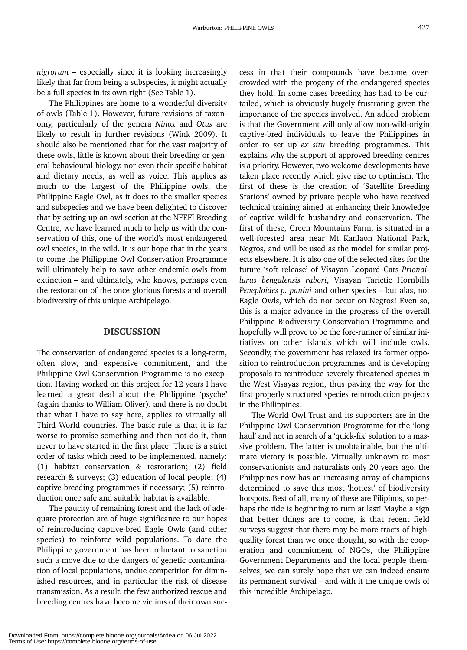*nigrorum* – especially since it is looking increasingly likely that far from being a subspecies, it might actually be a full species in its own right (See Table 1).

The Philippines are home to a wonderful diversity of owls (Table 1). However, future revisions of taxonomy, particularly of the genera *Ninox* and *Otus* are likely to result in further revisions (Wink 2009). It should also be mentioned that for the vast majority of these owls, little is known about their breeding or general behavioural biology, nor even their specific habitat and dietary needs, as well as voice. This applies as much to the largest of the Philippine owls, the Philippine Eagle Owl, as it does to the smaller species and subspecies and we have been delighted to discover that by setting up an owl section at the NFEFI Breeding Centre, we have learned much to help us with the conservation of this, one of the world's most endangered owl species, in the wild. It is our hope that in the years to come the Philippine Owl Conservation Programme will ultimately help to save other endemic owls from extinction – and ultimately, who knows, perhaps even the restoration of the once glorious forests and overall biodiversity of this unique Archipelago.

#### DISCUSSION

The conservation of endangered species is a long-term, often slow, and expensive commitment, and the Philippine Owl Conservation Programme is no exception. Having worked on this project for 12 years I have learned a great deal about the Philippine 'psyche' (again thanks to William Oliver), and there is no doubt that what I have to say here, applies to virtually all Third World countries. The basic rule is that it is far worse to promise something and then not do it, than never to have started in the first place! There is a strict order of tasks which need to be implemented, namely: (1) habitat conservation & restoration; (2) field research & surveys; (3) education of local people; (4) captive-breeding programmes if necessary; (5) reintroduction once safe and suitable habitat is available.

The paucity of remaining forest and the lack of adequate protection are of huge significance to our hopes of reintroducing captive-bred Eagle Owls (and other species) to reinforce wild populations. To date the Philippine government has been reluctant to sanction such a move due to the dangers of genetic contamination of local populations, undue competition for diminished resources, and in particular the risk of disease transmission. As a result, the few authorized rescue and breeding centres have become victims of their own success in that their compounds have become overcrowded with the progeny of the endangered species they hold. In some cases breeding has had to be curtailed, which is obviously hugely frustrating given the importance of the species involved. An added problem is that the Government will only allow non-wild-origin captive-bred individuals to leave the Philippines in order to set up *ex situ* breeding programmes. This explains why the support of approved breeding centres is a priority. However, two welcome developments have taken place recently which give rise to optimism. The first of these is the creation of 'Satellite Breeding Stations' owned by private people who have received technical training aimed at enhancing their knowledge of captive wildlife husbandry and conservation. The first of these, Green Mountains Farm, is situated in a well-forested area near Mt. Kanlaon National Park, Negros, and will be used as the model for similar projects elsewhere. It is also one of the selected sites for the future 'soft release' of Visayan Leopard Cats *Prionailurus bengalensis rabori*, Visayan Tarictic Hornbills *Peneploides p. panini* and other species – but alas, not Eagle Owls, which do not occur on Negros! Even so, this is a major advance in the progress of the overall Philippine Biodiversity Conservation Programme and hopefully will prove to be the fore-runner of similar initiatives on other islands which will include owls. Secondly, the government has relaxed its former opposition to reintroduction programmes and is developing proposals to reintroduce severely threatened species in the West Visayas region, thus paving the way for the first properly structured species reintroduction projects in the Philippines.

The World Owl Trust and its supporters are in the Philippine Owl Conservation Programme for the 'long haul' and not in search of a 'quick-fix' solution to a massive problem. The latter is unobtainable, but the ultimate victory is possible. Virtually unknown to most conservationists and naturalists only 20 years ago, the Philippines now has an increasing array of champions determined to save this most 'hottest' of biodiversity hotspots. Best of all, many of these are Filipinos, so perhaps the tide is beginning to turn at last! Maybe a sign that better things are to come, is that recent field surveys suggest that there may be more tracts of highquality forest than we once thought, so with the cooperation and commitment of NGOs, the Philippine Government Departments and the local people themselves, we can surely hope that we can indeed ensure its permanent survival – and with it the unique owls of this incredible Archipelago.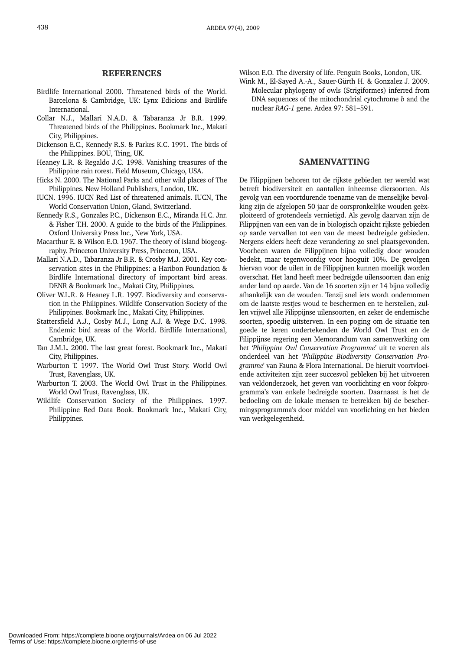#### **REFERENCES**

- Birdlife International 2000. Threatened birds of the World. Barcelona & Cambridge, UK: Lynx Edicions and Birdlife International.
- Collar N.J., Mallari N.A.D. & Tabaranza Jr B.R. 1999. Threatened birds of the Philippines. Bookmark Inc., Makati City, Philippines.
- Dickenson E.C., Kennedy R.S. & Parkes K.C. 1991. The birds of the Philippines. BOU, Tring, UK.
- Heaney L.R. & Regaldo J.C. 1998. Vanishing treasures of the Philippine rain rorest. Field Museum, Chicago, USA.
- Hicks N. 2000. The National Parks and other wild places of The Philippines. New Holland Publishers, London, UK.
- IUCN. 1996. IUCN Red List of threatened animals. IUCN, The World Conservation Union, Gland, Switzerland.
- Kennedy R.S., Gonzales P.C., Dickenson E.C., Miranda H.C. Jnr. & Fisher T.H. 2000. A guide to the birds of the Philippines. Oxford University Press Inc., New York, USA.
- Macarthur E. & Wilson E.O. 1967. The theory of island biogeography. Princeton University Press, Princeton, USA.
- Mallari N.A.D., Tabaranza Jr B.R. & Crosby M.J. 2001. Key conservation sites in the Philippines: a Haribon Foundation & Birdlife International directory of important bird areas. DENR & Bookmark Inc., Makati City, Philippines.
- Oliver W.L.R. & Heaney L.R. 1997. Biodiversity and conservation in the Philippines. Wildlife Conservation Society of the Philippines. Bookmark Inc., Makati City, Philippines.
- Stattersfield A.J., Cosby M.J., Long A.J. & Wege D.C. 1998. Endemic bird areas of the World. Birdlife International, Cambridge, UK.
- Tan J.M.L. 2000. The last great forest. Bookmark Inc., Makati City, Philippines.
- Warburton T. 1997. The World Owl Trust Story. World Owl Trust, Ravenglass, UK.
- Warburton T. 2003. The World Owl Trust in the Philippines. World Owl Trust, Ravenglass, UK.
- Wildlife Conservation Society of the Philippines. 1997. Philippine Red Data Book. Bookmark Inc., Makati City, Philippines.

Wilson E.O. The diversity of life. Penguin Books, London, UK.

Wink M., El-Sayed A.-A., Sauer-Gürth H. & Gonzalez J. 2009. Molecular phylogeny of owls (Strigiformes) inferred from DNA sequences of the mitochondrial cytochrome *b* and the nuclear *RAG-1* gene. Ardea 97: 581–591.

#### SAMENVATTING

De Filippijnen behoren tot de rijkste gebieden ter wereld wat betreft biodiversiteit en aantallen inheemse diersoorten. Als gevolg van een voortdurende toename van de menselijke bevolking zijn de afgelopen 50 jaar de oorspronkelijke wouden geëxploiteerd of grotendeels vernietigd. Als gevolg daarvan zijn de Filippijnen van een van de in biologisch opzicht rijkste gebieden op aarde vervallen tot een van de meest bedreigde gebieden. Nergens elders heeft deze verandering zo snel plaatsgevonden. Voorheen waren de Filippijnen bijna volledig door wouden bedekt, maar tegenwoordig voor hooguit 10%. De gevolgen hiervan voor de uilen in de Filippijnen kunnen moeilijk worden overschat. Het land heeft meer bedreigde uilensoorten dan enig ander land op aarde. Van de 16 soorten zijn er 14 bijna volledig afhankelijk van de wouden. Tenzij snel iets wordt ondernomen om de laatste restjes woud te beschermen en te herstellen, zullen vrijwel alle Filippijnse uilensoorten, en zeker de endemische soorten, spoedig uitsterven. In een poging om de situatie ten goede te keren ondertekenden de World Owl Trust en de Filippijnse regering een Memorandum van samenwerking om het '*Philippine Owl Conservation Programme*' uit te voeren als onderdeel van het '*Philippine Biodiversity Conservation Programme*' van Fauna & Flora International. De hieruit voortvloeiende activiteiten zijn zeer succesvol gebleken bij het uitvoeren van veldonderzoek, het geven van voorlichting en voor fokprogramma's van enkele bedreigde soorten. Daarnaast is het de bedoeling om de lokale mensen te betrekken bij de beschermingsprogramma's door middel van voorlichting en het bieden van werkgelegenheid.